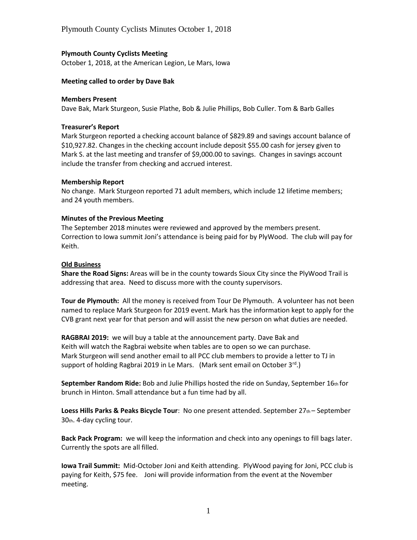# **Plymouth County Cyclists Meeting**

October 1, 2018, at the American Legion, Le Mars, Iowa

### **Meeting called to order by Dave Bak**

#### **Members Present**

Dave Bak, Mark Sturgeon, Susie Plathe, Bob & Julie Phillips, Bob Culler. Tom & Barb Galles

### **Treasurer's Report**

Mark Sturgeon reported a checking account balance of \$829.89 and savings account balance of \$10,927.82. Changes in the checking account include deposit \$55.00 cash for jersey given to Mark S. at the last meeting and transfer of \$9,000.00 to savings. Changes in savings account include the transfer from checking and accrued interest.

# **Membership Report**

No change. Mark Sturgeon reported 71 adult members, which include 12 lifetime members; and 24 youth members.

#### **Minutes of the Previous Meeting**

The September 2018 minutes were reviewed and approved by the members present. Correction to Iowa summit Joni's attendance is being paid for by PlyWood. The club will pay for Keith.

# **Old Business**

**Share the Road Signs:** Areas will be in the county towards Sioux City since the PlyWood Trail is addressing that area. Need to discuss more with the county supervisors.

**Tour de Plymouth:** All the money is received from Tour De Plymouth. A volunteer has not been named to replace Mark Sturgeon for 2019 event. Mark has the information kept to apply for the CVB grant next year for that person and will assist the new person on what duties are needed.

**RAGBRAI 2019:** we will buy a table at the announcement party. Dave Bak and Keith will watch the Ragbrai website when tables are to open so we can purchase. Mark Sturgeon will send another email to all PCC club members to provide a letter to TJ in support of holding Ragbrai 2019 in Le Mars. (Mark sent email on October  $3^{rd}$ .)

**September Random Ride:** Bob and Julie Phillips hosted the ride on Sunday, September 16th for brunch in Hinton. Small attendance but a fun time had by all.

Loess Hills Parks & Peaks Bicycle Tour: No one present attended. September 27th – September 30th. 4-day cycling tour.

**Back Pack Program:** we will keep the information and check into any openings to fill bags later. Currently the spots are all filled.

**Iowa Trail Summit:** Mid-October Joni and Keith attending. PlyWood paying for Joni, PCC club is paying for Keith, \$75 fee. Joni will provide information from the event at the November meeting.